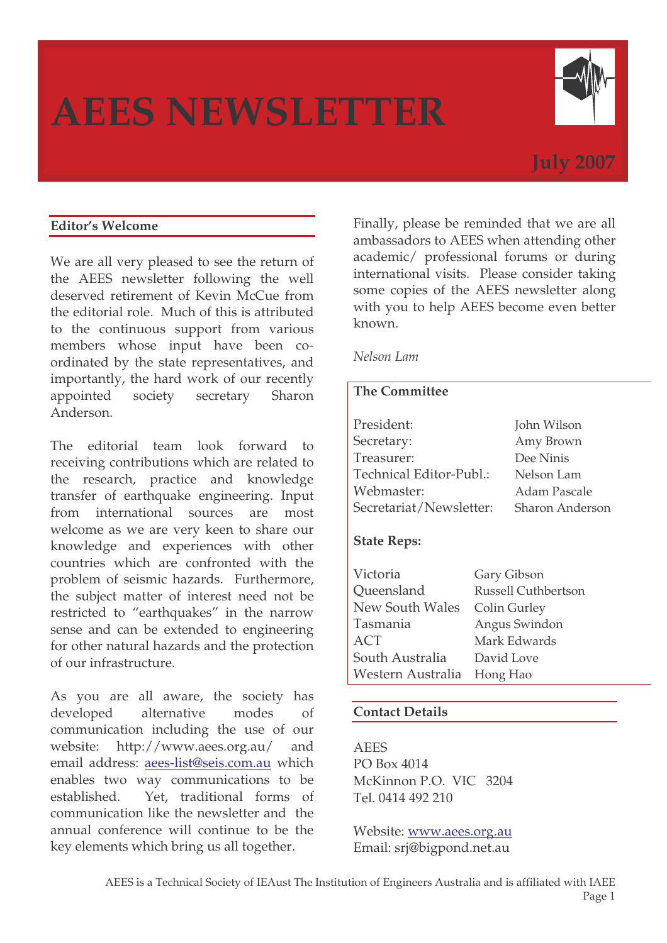# **AEES NEWSLETTER**



# **July 2007**

# **Editor's Welcome**

We are all very pleased to see the return of the AEES newsletter following the well deserved retirement of Kevin McCue from the editorial role. Much of this is attributed to the continuous support from various members whose input have been coordinated by the state representatives, and importantly, the hard work of our recently appointed society secretary Sharon Anderson.

The editorial team look forward to receiving contributions which are related to the research, practice and knowledge transfer of earthquake engineering. Input from international sources are most welcome as we are very keen to share our knowledge and experiences with other countries which are confronted with the problem of seismic hazards. Furthermore, the subject matter of interest need not be restricted to "earthquakes" in the narrow sense and can be extended to engineering for other natural hazards and the protection of our infrastructure.

As you are all aware, the society has developed alternative modes of communication including the use of our website: http://www.aees.org.au/ and email address: aees-list@seis.com.au which enables two way communications to be established. Yet, traditional forms of communication like the newsletter and the annual conference will continue to be the key elements which bring us all together.

Finally, please be reminded that we are all ambassadors to AEES when attending other academic/ professional forums or during international visits. Please consider taking some copies of the AEES newsletter along with you to help AEES become even better known.

#### *Nelson Lam*

# **The Committee**

| President:              | John Wilson            |
|-------------------------|------------------------|
| Secretary:              | Amy Brown              |
| Treasurer:              | Dee Ninis              |
| Technical Editor-Publ.: | Nelson Lam             |
| Webmaster:              | Adam Pascale           |
| Secretariat/Newsletter: | <b>Sharon Anderson</b> |
|                         |                        |

#### **State Reps:**

| Victoria          | Gary Gibson                |
|-------------------|----------------------------|
| Queensland        | <b>Russell Cuthbertson</b> |
| New South Wales   | Colin Gurley               |
| Tasmania          | Angus Swindon              |
| <b>ACT</b>        | Mark Edwards               |
| South Australia   | David Love                 |
| Western Australia | Hong Hao                   |

#### **Contact Details**

AEES PO Box 4014 McKinnon P.O. VIC 3204 Tel. 0414 492 210

Website: www.aees.org.au Email: srj@bigpond.net.au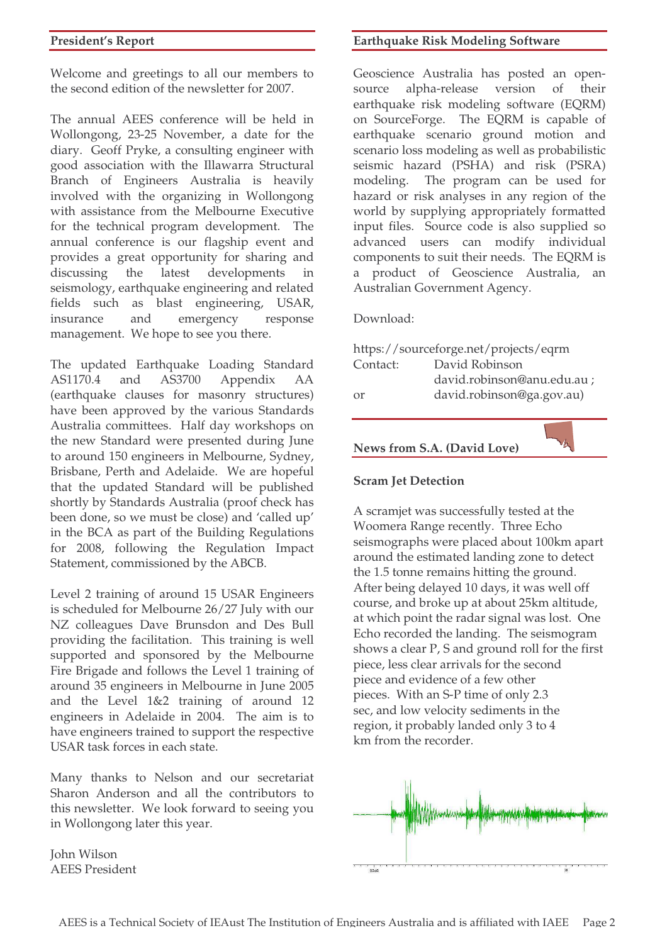Welcome and greetings to all our members to the second edition of the newsletter for 2007.

The annual AEES conference will be held in Wollongong, 23-25 November, a date for the diary. Geoff Pryke, a consulting engineer with good association with the Illawarra Structural Branch of Engineers Australia is heavily involved with the organizing in Wollongong with assistance from the Melbourne Executive for the technical program development. The annual conference is our flagship event and provides a great opportunity for sharing and discussing the latest developments in seismology, earthquake engineering and related fields such as blast engineering, USAR, insurance and emergency response management. We hope to see you there.

The updated Earthquake Loading Standard AS1170.4 and AS3700 Appendix AA (earthquake clauses for masonry structures) have been approved by the various Standards Australia committees. Half day workshops on the new Standard were presented during June to around 150 engineers in Melbourne, Sydney, Brisbane, Perth and Adelaide. We are hopeful that the updated Standard will be published shortly by Standards Australia (proof check has been done, so we must be close) and 'called up' in the BCA as part of the Building Regulations for 2008, following the Regulation Impact Statement, commissioned by the ABCB.

Level 2 training of around 15 USAR Engineers is scheduled for Melbourne 26/27 July with our NZ colleagues Dave Brunsdon and Des Bull providing the facilitation. This training is well supported and sponsored by the Melbourne Fire Brigade and follows the Level 1 training of around 35 engineers in Melbourne in June 2005 and the Level 1&2 training of around 12 engineers in Adelaide in 2004. The aim is to have engineers trained to support the respective USAR task forces in each state.

Many thanks to Nelson and our secretariat Sharon Anderson and all the contributors to this newsletter. We look forward to seeing you in Wollongong later this year.

John Wilson AEES President

#### **Earthquake Risk Modeling Software**

Geoscience Australia has posted an opensource alpha-release version of their earthquake risk modeling software (EQRM) on SourceForge. The EQRM is capable of earthquake scenario ground motion and scenario loss modeling as well as probabilistic seismic hazard (PSHA) and risk (PSRA) modeling. The program can be used for hazard or risk analyses in any region of the world by supplying appropriately formatted input files. Source code is also supplied so advanced users can modify individual components to suit their needs. The EQRM is a product of Geoscience Australia, an Australian Government Agency.

Download:

|          | https://sourceforge.net/projects/eqrm |
|----------|---------------------------------------|
| Contact: | David Robinson                        |
|          | david.robinson@anu.edu.au ;           |
| or       | david.robinson@ga.gov.au)             |
|          |                                       |

**News from S.A. (David Love)**

#### **Scram Jet Detection**

A scramjet was successfully tested at the Woomera Range recently. Three Echo seismographs were placed about 100km apart around the estimated landing zone to detect the 1.5 tonne remains hitting the ground. After being delayed 10 days, it was well off course, and broke up at about 25km altitude, at which point the radar signal was lost. One Echo recorded the landing. The seismogram shows a clear P, S and ground roll for the first piece, less clear arrivals for the second piece and evidence of a few other pieces. With an S-P time of only 2.3 sec, and low velocity sediments in the region, it probably landed only 3 to 4 km from the recorder.

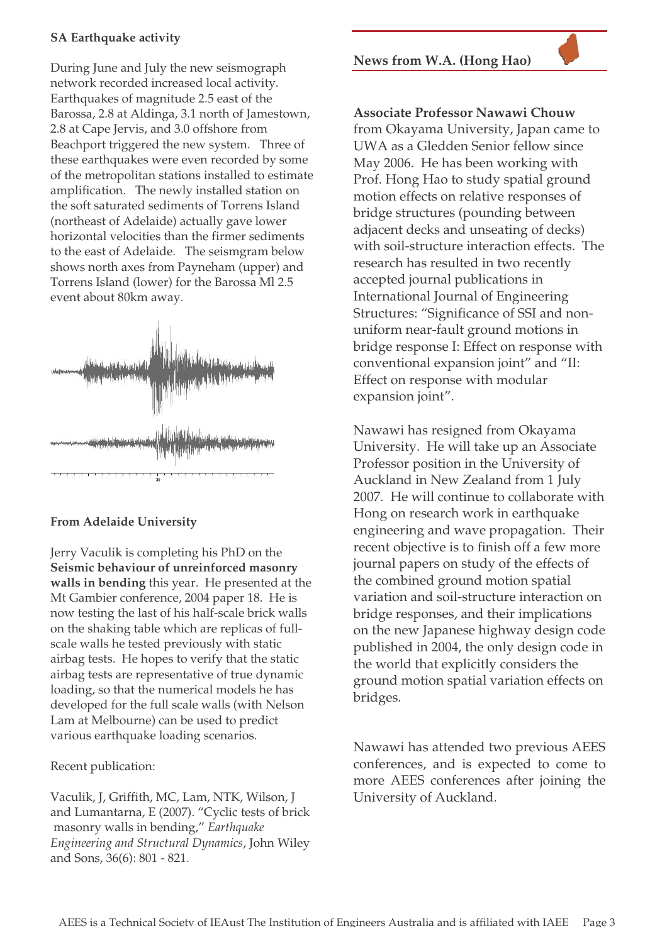## **SA Earthquake activity**

During June and July the new seismograph network recorded increased local activity. Earthquakes of magnitude 2.5 east of the Barossa, 2.8 at Aldinga, 3.1 north of Jamestown, 2.8 at Cape Jervis, and 3.0 offshore from Beachport triggered the new system. Three of these earthquakes were even recorded by some of the metropolitan stations installed to estimate amplification. The newly installed station on the soft saturated sediments of Torrens Island (northeast of Adelaide) actually gave lower horizontal velocities than the firmer sediments to the east of Adelaide. The seismgram below shows north axes from Payneham (upper) and Torrens Island (lower) for the Barossa Ml 2.5 event about 80km away.



# **From Adelaide University**

Jerry Vaculik is completing his PhD on the **Seismic behaviour of unreinforced masonry walls in bending** this year. He presented at the Mt Gambier conference, 2004 paper 18. He is now testing the last of his half-scale brick walls on the shaking table which are replicas of fullscale walls he tested previously with static airbag tests. He hopes to verify that the static airbag tests are representative of true dynamic loading, so that the numerical models he has developed for the full scale walls (with Nelson Lam at Melbourne) can be used to predict various earthquake loading scenarios.

#### Recent publication:

Vaculik, J, Griffith, MC, Lam, NTK, Wilson, J and Lumantarna, E (2007). "Cyclic tests of brick masonry walls in bending," *Earthquake Engineering and Structural Dynamics*, John Wiley and Sons, 36(6): 801 - 821.

**News from W.A. (Hong Hao)**

**Associate Professor Nawawi Chouw**

from Okayama University, Japan came to UWA as a Gledden Senior fellow since May 2006. He has been working with Prof. Hong Hao to study spatial ground motion effects on relative responses of bridge structures (pounding between adjacent decks and unseating of decks) with soil-structure interaction effects. The research has resulted in two recently accepted journal publications in International Journal of Engineering Structures: "Significance of SSI and nonuniform near-fault ground motions in bridge response I: Effect on response with conventional expansion joint" and "II: Effect on response with modular expansion joint".

Nawawi has resigned from Okayama University. He will take up an Associate Professor position in the University of Auckland in New Zealand from 1 July 2007. He will continue to collaborate with Hong on research work in earthquake engineering and wave propagation. Their recent objective is to finish off a few more journal papers on study of the effects of the combined ground motion spatial variation and soil-structure interaction on bridge responses, and their implications on the new Japanese highway design code published in 2004, the only design code in the world that explicitly considers the ground motion spatial variation effects on bridges.

Nawawi has attended two previous AEES conferences, and is expected to come to more AEES conferences after joining the University of Auckland.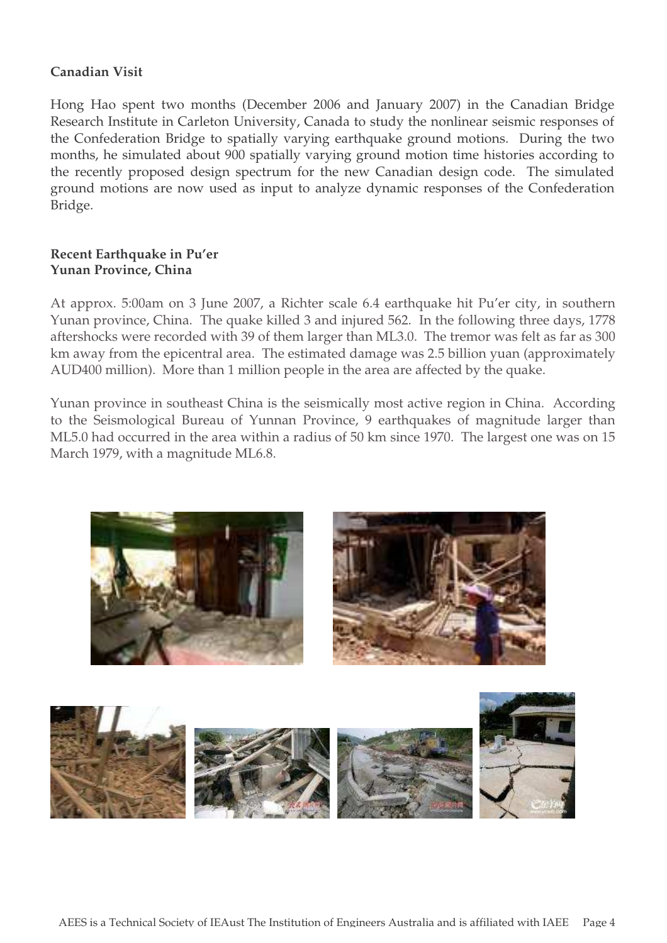# **Canadian Visit**

Hong Hao spent two months (December 2006 and January 2007) in the Canadian Bridge Research Institute in Carleton University, Canada to study the nonlinear seismic responses of the Confederation Bridge to spatially varying earthquake ground motions. During the two months, he simulated about 900 spatially varying ground motion time histories according to the recently proposed design spectrum for the new Canadian design code. The simulated ground motions are now used as input to analyze dynamic responses of the Confederation Bridge.

# **Recent Earthquake in Pu'er Yunan Province, China**

At approx. 5:00am on 3 June 2007, a Richter scale 6.4 earthquake hit Pu'er city, in southern Yunan province, China. The quake killed 3 and injured 562. In the following three days, 1778 aftershocks were recorded with 39 of them larger than ML3.0. The tremor was felt as far as 300 km away from the epicentral area. The estimated damage was 2.5 billion yuan (approximately AUD400 million). More than 1 million people in the area are affected by the quake.

Yunan province in southeast China is the seismically most active region in China. According to the Seismological Bureau of Yunnan Province, 9 earthquakes of magnitude larger than ML5.0 had occurred in the area within a radius of 50 km since 1970. The largest one was on 15 March 1979, with a magnitude ML6.8.



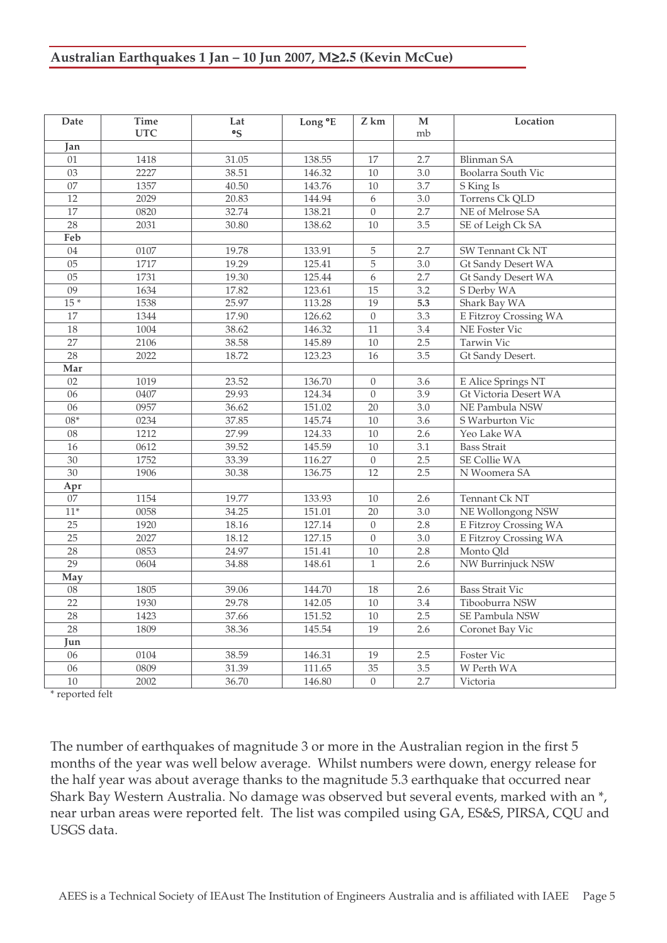# **Australian Earthquakes 1 Jan – 10 Jun 2007, M**≥**2.5 (Kevin McCue)**

| Date            | <b>Time</b> | Lat                  | Long °E | Z km             | M                | Location                  |
|-----------------|-------------|----------------------|---------|------------------|------------------|---------------------------|
|                 | <b>UTC</b>  | $\mathsf{^{\circ}S}$ |         |                  | mb               |                           |
| Jan             |             |                      |         |                  |                  |                           |
| 01              | 1418        | 31.05                | 138.55  | 17               | 2.7              | <b>Blinman SA</b>         |
| $\overline{03}$ | 2227        | 38.51                | 146.32  | 10               | 3.0              | Boolarra South Vic        |
| $\overline{07}$ | 1357        | 40.50                | 143.76  | 10               | 3.7              | S King Is                 |
| $\overline{12}$ | 2029        | 20.83                | 144.94  | 6                | $\overline{3.0}$ | Torrens Ck QLD            |
| 17              | 0820        | 32.74                | 138.21  | $\Omega$         | 2.7              | NE of Melrose SA          |
| 28              | 2031        | 30.80                | 138.62  | $\overline{10}$  | $\overline{3.5}$ | SE of Leigh Ck SA         |
| Feb             |             |                      |         |                  |                  |                           |
| 04              | 0107        | 19.78                | 133.91  | 5                | 2.7              | <b>SW Tennant Ck NT</b>   |
| $\overline{05}$ | 1717        | 19.29                | 125.41  | $\overline{5}$   | $\overline{3.0}$ | Gt Sandy Desert WA        |
| 05              | 1731        | 19.30                | 125.44  | 6                | 2.7              | <b>Gt Sandy Desert WA</b> |
| $\overline{09}$ | 1634        | 17.82                | 123.61  | $\overline{15}$  | $\overline{3.2}$ | S Derby WA                |
| $15*$           | 1538        | 25.97                | 113.28  | $\overline{19}$  | 5.3              | Shark Bay WA              |
| 17              | 1344        | 17.90                | 126.62  | $\overline{0}$   | 3.3              | E Fitzroy Crossing WA     |
| 18              | 1004        | 38.62                | 146.32  | 11               | $3.4\,$          | NE Foster Vic             |
| $\overline{27}$ | 2106        | 38.58                | 145.89  | 10               | 2.5              | Tarwin Vic                |
| 28              | 2022        | 18.72                | 123.23  | 16               | $\overline{3.5}$ | Gt Sandy Desert.          |
| Mar             |             |                      |         |                  |                  |                           |
| 02              | 1019        | 23.52                | 136.70  | $\Omega$         | 3.6              | E Alice Springs NT        |
| 06              | 0407        | 29.93                | 124.34  | $\Omega$         | 3.9              | Gt Victoria Desert WA     |
| 06              | 0957        | 36.62                | 151.02  | 20               | 3.0              | NE Pambula NSW            |
| $08*$           | 0234        | 37.85                | 145.74  | 10               | $\overline{3.6}$ | S Warburton Vic           |
| $\overline{08}$ | 1212        | 27.99                | 124.33  | 10               | 2.6              | Yeo Lake WA               |
| 16              | 0612        | 39.52                | 145.59  | 10               | 3.1              | <b>Bass Strait</b>        |
| $\overline{30}$ | 1752        | 33.39                | 116.27  | $\boldsymbol{0}$ | 2.5              | <b>SE Collie WA</b>       |
| $\overline{30}$ | 1906        | 30.38                | 136.75  | $\overline{12}$  | 2.5              | N Woomera SA              |
| Apr             |             |                      |         |                  |                  |                           |
| 07              | 1154        | 19.77                | 133.93  | 10               | 2.6              | Tennant Ck NT             |
| $11*$           | 0058        | 34.25                | 151.01  | $\overline{20}$  | $\overline{3.0}$ | <b>NE Wollongong NSW</b>  |
| $\overline{25}$ | 1920        | 18.16                | 127.14  | $\overline{0}$   | 2.8              | E Fitzroy Crossing WA     |
| $\overline{25}$ | 2027        | 18.12                | 127.15  | $\overline{0}$   | 3.0              | E Fitzroy Crossing WA     |
| $\overline{28}$ | 0853        | 24.97                | 151.41  | 10               | 2.8              | Monto Qld                 |
| 29              | 0604        | 34.88                | 148.61  | $\mathbf{1}$     | 2.6              | NW Burrinjuck NSW         |
| May             |             |                      |         |                  |                  |                           |
| $08$            | 1805        | 39.06                | 144.70  | 18               | 2.6              | <b>Bass Strait Vic</b>    |
| $\overline{22}$ | 1930        | 29.78                | 142.05  | 10               | $\overline{3.4}$ | Tibooburra NSW            |
| 28              | 1423        | 37.66                | 151.52  | $10\,$           | 2.5              | SE Pambula NSW            |
| 28              | 1809        | 38.36                | 145.54  | 19               | 2.6              | Coronet Bay Vic           |
| Jun             |             |                      |         |                  |                  |                           |
| 06              | 0104        | 38.59                | 146.31  | 19               | 2.5              | Foster Vic                |
| 06              | 0809        | 31.39                | 111.65  | $\overline{35}$  | 3.5              | W Perth WA                |
| $\overline{10}$ | 2002        | 36.70                | 146.80  | $\mathbf{0}$     | 2.7              | Victoria                  |

\* reported felt

The number of earthquakes of magnitude 3 or more in the Australian region in the first 5 months of the year was well below average. Whilst numbers were down, energy release for the half year was about average thanks to the magnitude 5.3 earthquake that occurred near Shark Bay Western Australia. No damage was observed but several events, marked with an \*, near urban areas were reported felt. The list was compiled using GA, ES&S, PIRSA, CQU and USGS data.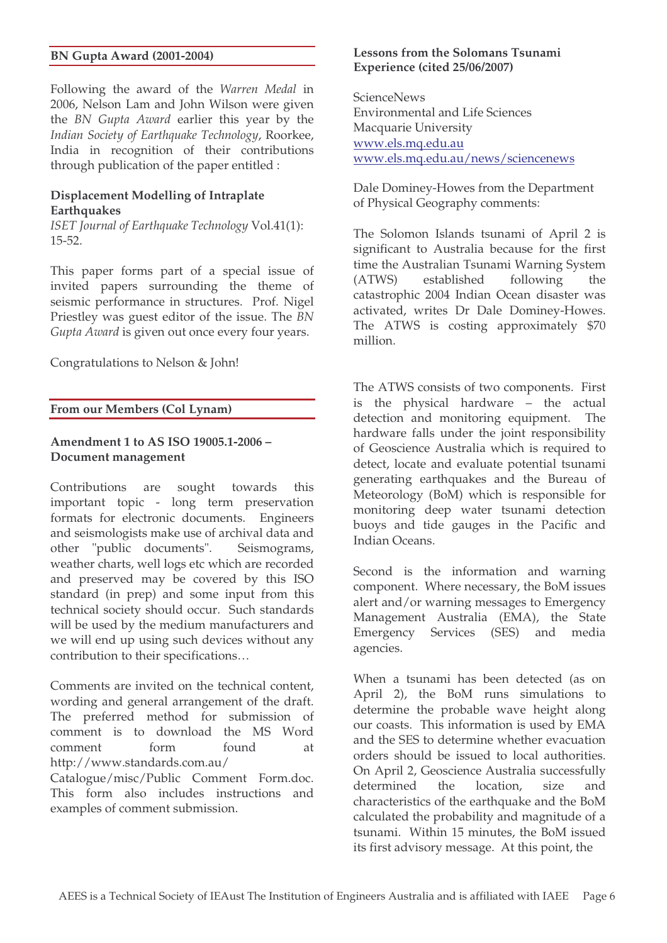#### **BN Gupta Award (2001-2004)**

Following the award of the *Warren Medal* in 2006, Nelson Lam and John Wilson were given the *BN Gupta Award* earlier this year by the *Indian Society of Earthquake Technology*, Roorkee, India in recognition of their contributions through publication of the paper entitled :

#### **Displacement Modelling of Intraplate Earthquakes**

*ISET Journal of Earthquake Technology* Vol.41(1): 15-52.

This paper forms part of a special issue of invited papers surrounding the theme of seismic performance in structures. Prof. Nigel Priestley was guest editor of the issue. The *BN Gupta Award* is given out once every four years.

Congratulations to Nelson & John!

#### **From our Members (Col Lynam)**

#### **Amendment 1 to AS ISO 19005.1-2006 – Document management**

Contributions are sought towards this important topic - long term preservation formats for electronic documents. Engineers and seismologists make use of archival data and other "public documents". Seismograms, weather charts, well logs etc which are recorded and preserved may be covered by this ISO standard (in prep) and some input from this technical society should occur. Such standards will be used by the medium manufacturers and we will end up using such devices without any contribution to their specifications…

Comments are invited on the technical content, wording and general arrangement of the draft. The preferred method for submission of comment is to download the MS Word comment form found at http://www.standards.com.au/

Catalogue/misc/Public Comment Form.doc. This form also includes instructions and examples of comment submission.

#### **Lessons from the Solomans Tsunami Experience (cited 25/06/2007)**

**ScienceNews** Environmental and Life Sciences Macquarie University www.els.mq.edu.au www.els.mq.edu.au/news/sciencenews

Dale Dominey-Howes from the Department of Physical Geography comments:

The Solomon Islands tsunami of April 2 is significant to Australia because for the first time the Australian Tsunami Warning System (ATWS) established following the catastrophic 2004 Indian Ocean disaster was activated, writes Dr Dale Dominey-Howes. The ATWS is costing approximately \$70 million.

The ATWS consists of two components. First is the physical hardware – the actual detection and monitoring equipment. The hardware falls under the joint responsibility of Geoscience Australia which is required to detect, locate and evaluate potential tsunami generating earthquakes and the Bureau of Meteorology (BoM) which is responsible for monitoring deep water tsunami detection buoys and tide gauges in the Pacific and Indian Oceans.

Second is the information and warning component. Where necessary, the BoM issues alert and/or warning messages to Emergency Management Australia (EMA), the State Emergency Services (SES) and media agencies.

When a tsunami has been detected (as on April 2), the BoM runs simulations to determine the probable wave height along our coasts. This information is used by EMA and the SES to determine whether evacuation orders should be issued to local authorities. On April 2, Geoscience Australia successfully determined the location, size and characteristics of the earthquake and the BoM calculated the probability and magnitude of a tsunami. Within 15 minutes, the BoM issued its first advisory message. At this point, the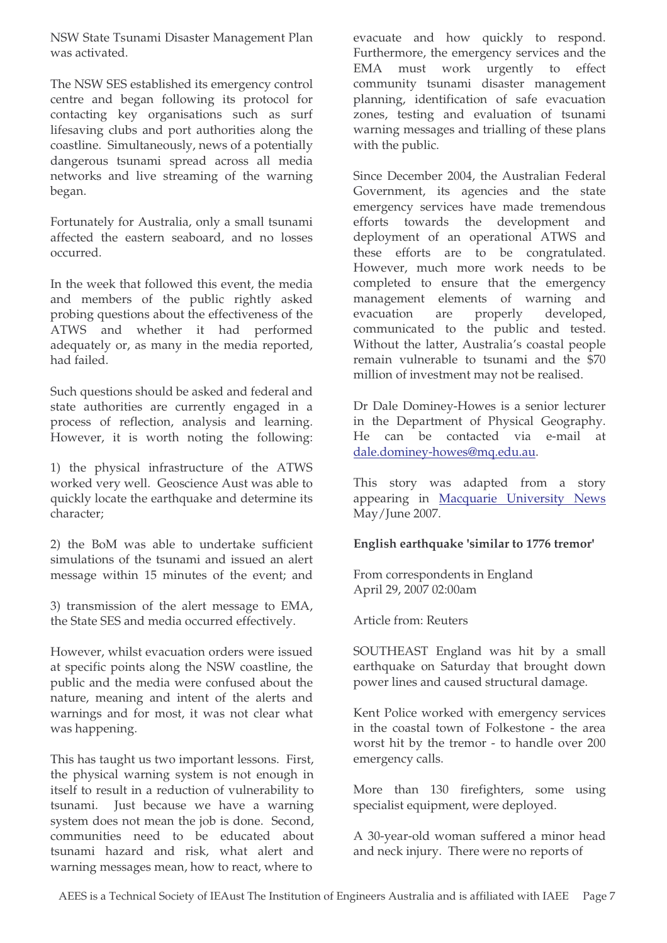NSW State Tsunami Disaster Management Plan was activated.

The NSW SES established its emergency control centre and began following its protocol for contacting key organisations such as surf lifesaving clubs and port authorities along the coastline. Simultaneously, news of a potentially dangerous tsunami spread across all media networks and live streaming of the warning began.

Fortunately for Australia, only a small tsunami affected the eastern seaboard, and no losses occurred.

In the week that followed this event, the media and members of the public rightly asked probing questions about the effectiveness of the ATWS and whether it had performed adequately or, as many in the media reported, had failed.

Such questions should be asked and federal and state authorities are currently engaged in a process of reflection, analysis and learning. However, it is worth noting the following:

1) the physical infrastructure of the ATWS worked very well. Geoscience Aust was able to quickly locate the earthquake and determine its character;

2) the BoM was able to undertake sufficient simulations of the tsunami and issued an alert message within 15 minutes of the event; and

3) transmission of the alert message to EMA, the State SES and media occurred effectively.

However, whilst evacuation orders were issued at specific points along the NSW coastline, the public and the media were confused about the nature, meaning and intent of the alerts and warnings and for most, it was not clear what was happening.

This has taught us two important lessons. First, the physical warning system is not enough in itself to result in a reduction of vulnerability to tsunami. Just because we have a warning system does not mean the job is done. Second, communities need to be educated about tsunami hazard and risk, what alert and warning messages mean, how to react, where to

evacuate and how quickly to respond. Furthermore, the emergency services and the EMA must work urgently to effect community tsunami disaster management planning, identification of safe evacuation zones, testing and evaluation of tsunami warning messages and trialling of these plans with the public.

Since December 2004, the Australian Federal Government, its agencies and the state emergency services have made tremendous efforts towards the development and deployment of an operational ATWS and these efforts are to be congratulated. However, much more work needs to be completed to ensure that the emergency management elements of warning and evacuation are properly developed, communicated to the public and tested. Without the latter, Australia's coastal people remain vulnerable to tsunami and the \$70 million of investment may not be realised.

Dr Dale Dominey-Howes is a senior lecturer in the Department of Physical Geography. He can be contacted via e-mail at dale.dominey-howes@mq.edu.au.

This story was adapted from a story appearing in Macquarie University News May/June 2007.

#### **English earthquake 'similar to 1776 tremor'**

From correspondents in England April 29, 2007 02:00am

Article from: Reuters

SOUTHEAST England was hit by a small earthquake on Saturday that brought down power lines and caused structural damage.

Kent Police worked with emergency services in the coastal town of Folkestone - the area worst hit by the tremor - to handle over 200 emergency calls.

More than 130 firefighters, some using specialist equipment, were deployed.

A 30-year-old woman suffered a minor head and neck injury. There were no reports of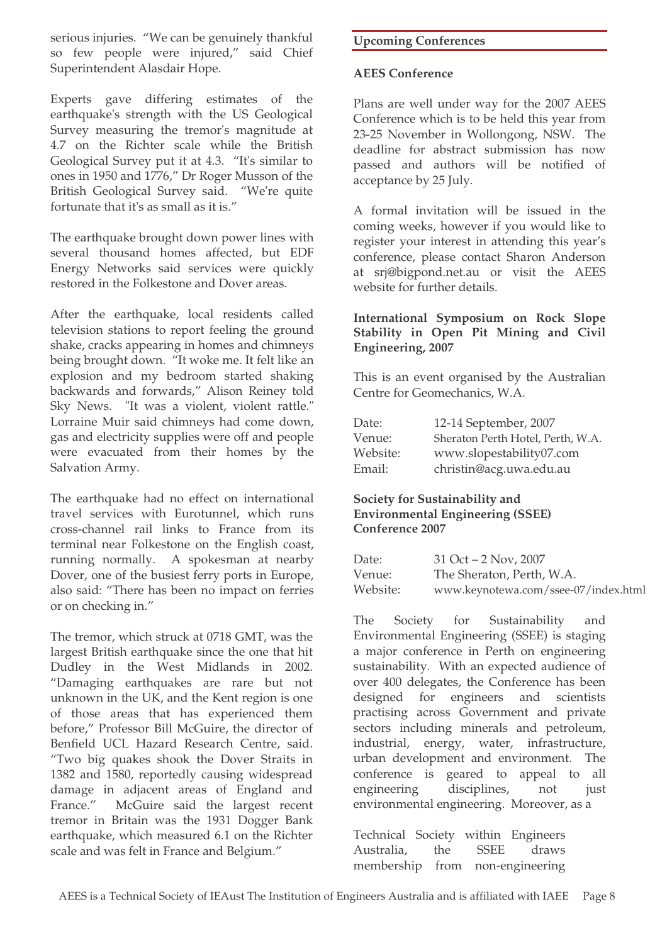serious injuries. "We can be genuinely thankful so few people were injured," said Chief Superintendent Alasdair Hope.

Experts gave differing estimates of the earthquake's strength with the US Geological Survey measuring the tremor's magnitude at 4.7 on the Richter scale while the British Geological Survey put it at 4.3. "It's similar to ones in 1950 and 1776," Dr Roger Musson of the British Geological Survey said. "We're quite fortunate that it's as small as it is."

The earthquake brought down power lines with several thousand homes affected, but EDF Energy Networks said services were quickly restored in the Folkestone and Dover areas.

After the earthquake, local residents called television stations to report feeling the ground shake, cracks appearing in homes and chimneys being brought down. "It woke me. It felt like an explosion and my bedroom started shaking backwards and forwards," Alison Reiney told Sky News. "It was a violent, violent rattle." Lorraine Muir said chimneys had come down, gas and electricity supplies were off and people were evacuated from their homes by the Salvation Army.

The earthquake had no effect on international travel services with Eurotunnel, which runs cross-channel rail links to France from its terminal near Folkestone on the English coast, running normally. A spokesman at nearby Dover, one of the busiest ferry ports in Europe, also said: "There has been no impact on ferries or on checking in."

The tremor, which struck at 0718 GMT, was the largest British earthquake since the one that hit Dudley in the West Midlands in 2002. "Damaging earthquakes are rare but not unknown in the UK, and the Kent region is one of those areas that has experienced them before," Professor Bill McGuire, the director of Benfield UCL Hazard Research Centre, said. "Two big quakes shook the Dover Straits in 1382 and 1580, reportedly causing widespread damage in adjacent areas of England and France." McGuire said the largest recent tremor in Britain was the 1931 Dogger Bank earthquake, which measured 6.1 on the Richter scale and was felt in France and Belgium."

# **Upcoming Conferences**

#### **AEES Conference**

Plans are well under way for the 2007 AEES Conference which is to be held this year from 23-25 November in Wollongong, NSW. The deadline for abstract submission has now passed and authors will be notified of acceptance by 25 July.

A formal invitation will be issued in the coming weeks, however if you would like to register your interest in attending this year's conference, please contact Sharon Anderson at srj@bigpond.net.au or visit the AEES website for further details.

# **International Symposium on Rock Slope Stability in Open Pit Mining and Civil Engineering, 2007**

This is an event organised by the Australian Centre for Geomechanics, W.A.

| Date:    | 12-14 September, 2007             |
|----------|-----------------------------------|
| Venue:   | Sheraton Perth Hotel, Perth, W.A. |
| Website: | www.slopestability07.com          |
| Email:   | christin@acg.uwa.edu.au           |

# **Society for Sustainability and Environmental Engineering (SSEE) Conference 2007**

| Date:    | $31$ Oct $-2$ Nov, 2007              |
|----------|--------------------------------------|
| Venue:   | The Sheraton, Perth, W.A.            |
| Website: | www.keynotewa.com/ssee-07/index.html |

The Society for Sustainability and Environmental Engineering (SSEE) is staging a major conference in Perth on engineering sustainability. With an expected audience of over 400 delegates, the Conference has been designed for engineers and scientists practising across Government and private sectors including minerals and petroleum, industrial, energy, water, infrastructure, urban development and environment. The conference is geared to appeal to all engineering disciplines, not just environmental engineering. Moreover, as a

Technical Society within Engineers Australia, the SSEE draws membership from non-engineering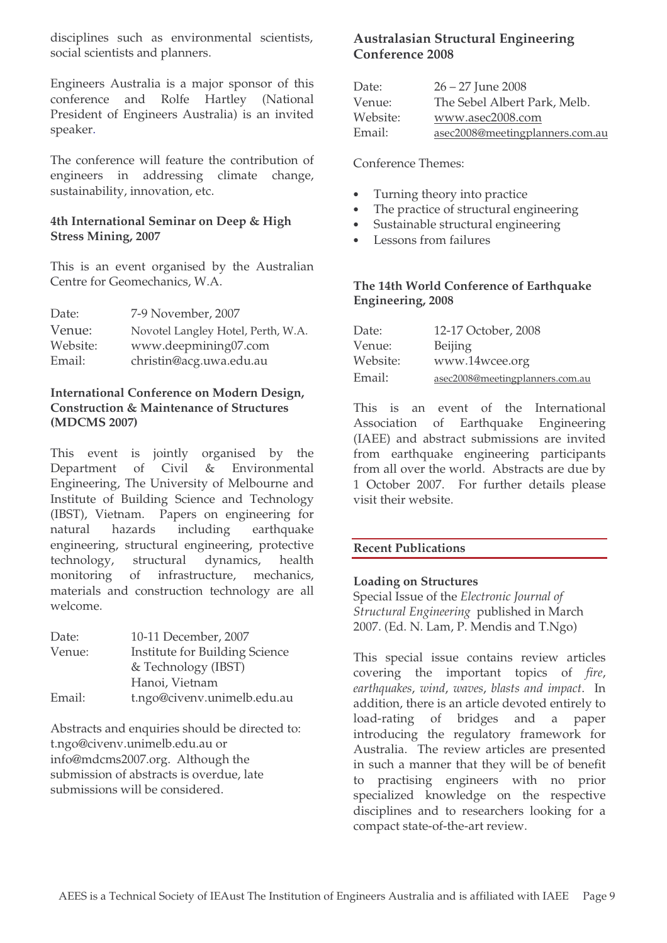disciplines such as environmental scientists, social scientists and planners.

Engineers Australia is a major sponsor of this conference and Rolfe Hartley (National President of Engineers Australia) is an invited speaker.

The conference will feature the contribution of engineers in addressing climate change, sustainability, innovation, etc.

#### **4th International Seminar on Deep & High Stress Mining, 2007**

This is an event organised by the Australian Centre for Geomechanics, W.A.

| Date:    | 7-9 November, 2007                 |
|----------|------------------------------------|
| Venue:   | Novotel Langley Hotel, Perth, W.A. |
| Website: | www.deepmining07.com               |
| Email:   | christin@acg.uwa.edu.au            |

#### **International Conference on Modern Design, Construction & Maintenance of Structures (MDCMS 2007)**

This event is jointly organised by the Department of Civil & Environmental Engineering, The University of Melbourne and Institute of Building Science and Technology (IBST), Vietnam. Papers on engineering for natural hazards including earthquake engineering, structural engineering, protective technology, structural dynamics, health monitoring of infrastructure, mechanics, materials and construction technology are all welcome.

| Date:  | 10-11 December, 2007                  |
|--------|---------------------------------------|
| Venue: | <b>Institute for Building Science</b> |
|        | & Technology (IBST)                   |
|        | Hanoi, Vietnam                        |
| Email: | t.ngo@civenv.unimelb.edu.au           |

Abstracts and enquiries should be directed to: t.ngo@civenv.unimelb.edu.au or info@mdcms2007.org. Although the submission of abstracts is overdue, late submissions will be considered.

# **Australasian Structural Engineering Conference 2008**

| Date:    | $26 - 27$ June 2008             |
|----------|---------------------------------|
| Venue:   | The Sebel Albert Park, Melb.    |
| Website: | www.asec2008.com                |
| Email:   | asec2008@meetingplanners.com.au |

Conference Themes:

- Turning theory into practice
- The practice of structural engineering
- Sustainable structural engineering
- Lessons from failures

#### **The 14th World Conference of Earthquake Engineering, 2008**

| Date:    | 12-17 October, 2008             |
|----------|---------------------------------|
| Venue:   | Beijing                         |
| Website: | www.14wcee.org                  |
| Email:   | asec2008@meetingplanners.com.au |

This is an event of the International Association of Earthquake Engineering (IAEE) and abstract submissions are invited from earthquake engineering participants from all over the world. Abstracts are due by 1 October 2007. For further details please visit their website.

#### **Recent Publications**

#### **Loading on Structures**

Special Issue of the *Electronic Journal of Structural Engineering* published in March 2007. (Ed. N. Lam, P. Mendis and T.Ngo)

This special issue contains review articles covering the important topics of *fire*, *earthquakes*, *wind*, *waves*, *blasts and impact*. In addition, there is an article devoted entirely to load-rating of bridges and a paper introducing the regulatory framework for Australia. The review articles are presented in such a manner that they will be of benefit to practising engineers with no prior specialized knowledge on the respective disciplines and to researchers looking for a compact state-of-the-art review.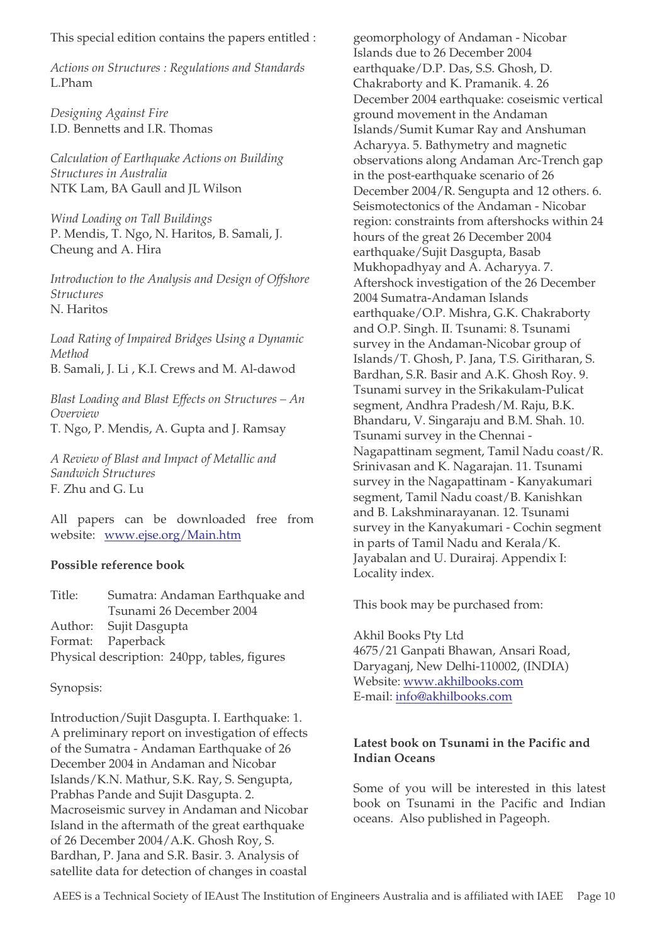This special edition contains the papers entitled :

*Actions on Structures : Regulations and Standards* L.Pham

*Designing Against Fire* I.D. Bennetts and I.R. Thomas

*Calculation of Earthquake Actions on Building Structures in Australia* NTK Lam, BA Gaull and JL Wilson

*Wind Loading on Tall Buildings* P. Mendis, T. Ngo, N. Haritos, B. Samali, J. Cheung and A. Hira

*Introduction to the Analysis and Design of Offshore Structures* N. Haritos

*Load Rating of Impaired Bridges Using a Dynamic Method* B. Samali, J. Li , K.I. Crews and M. Al-dawod

*Blast Loading and Blast Effects on Structures – An Overview* T. Ngo, P. Mendis, A. Gupta and J. Ramsay

*A Review of Blast and Impact of Metallic and Sandwich Structures* F. Zhu and G. Lu

All papers can be downloaded free from website: www.ejse.org/Main.htm

#### **Possible reference book**

Title: Sumatra: Andaman Earthquake and Tsunami 26 December 2004 Author: Sujit Dasgupta Format: Paperback Physical description: 240pp, tables, figures

Synopsis:

Introduction/Sujit Dasgupta. I. Earthquake: 1. A preliminary report on investigation of effects of the Sumatra - Andaman Earthquake of 26 December 2004 in Andaman and Nicobar Islands/K.N. Mathur, S.K. Ray, S. Sengupta, Prabhas Pande and Sujit Dasgupta. 2. Macroseismic survey in Andaman and Nicobar Island in the aftermath of the great earthquake of 26 December 2004/A.K. Ghosh Roy, S. Bardhan, P. Jana and S.R. Basir. 3. Analysis of satellite data for detection of changes in coastal

geomorphology of Andaman - Nicobar Islands due to 26 December 2004 earthquake/D.P. Das, S.S. Ghosh, D. Chakraborty and K. Pramanik. 4. 26 December 2004 earthquake: coseismic vertical ground movement in the Andaman Islands/Sumit Kumar Ray and Anshuman Acharyya. 5. Bathymetry and magnetic observations along Andaman Arc-Trench gap in the post-earthquake scenario of 26 December 2004/R. Sengupta and 12 others. 6. Seismotectonics of the Andaman - Nicobar region: constraints from aftershocks within 24 hours of the great 26 December 2004 earthquake/Sujit Dasgupta, Basab Mukhopadhyay and A. Acharyya. 7. Aftershock investigation of the 26 December 2004 Sumatra-Andaman Islands earthquake/O.P. Mishra, G.K. Chakraborty and O.P. Singh. II. Tsunami: 8. Tsunami survey in the Andaman-Nicobar group of Islands/T. Ghosh, P. Jana, T.S. Giritharan, S. Bardhan, S.R. Basir and A.K. Ghosh Roy. 9. Tsunami survey in the Srikakulam-Pulicat segment, Andhra Pradesh/M. Raju, B.K. Bhandaru, V. Singaraju and B.M. Shah. 10. Tsunami survey in the Chennai - Nagapattinam segment, Tamil Nadu coast/R. Srinivasan and K. Nagarajan. 11. Tsunami survey in the Nagapattinam - Kanyakumari segment, Tamil Nadu coast/B. Kanishkan and B. Lakshminarayanan. 12. Tsunami survey in the Kanyakumari - Cochin segment in parts of Tamil Nadu and Kerala/K. Jayabalan and U. Durairaj. Appendix I: Locality index.

This book may be purchased from:

Akhil Books Pty Ltd 4675/21 Ganpati Bhawan, Ansari Road, Daryaganj, New Delhi-110002, (INDIA) Website: www.akhilbooks.com E-mail: info@akhilbooks.com

#### **Latest book on Tsunami in the Pacific and Indian Oceans**

Some of you will be interested in this latest book on Tsunami in the Pacific and Indian oceans. Also published in Pageoph.